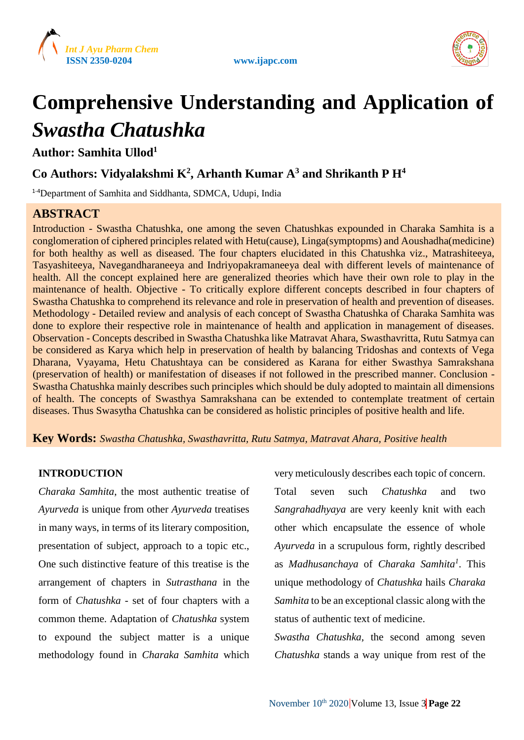





# **Comprehensive Understanding and Application of**  *Swastha Chatushka*

**Author: Samhita Ullod<sup>1</sup>**

## **Co Authors: Vidyalakshmi K<sup>2</sup> , Arhanth Kumar A<sup>3</sup> and Shrikanth P H<sup>4</sup>**

1-4Department of Samhita and Siddhanta, SDMCA, Udupi, India

### **ABSTRACT**

Introduction - Swastha Chatushka, one among the seven Chatushkas expounded in Charaka Samhita is a conglomeration of ciphered principles related with Hetu(cause), Linga(symptopms) and Aoushadha(medicine) for both healthy as well as diseased. The four chapters elucidated in this Chatushka viz., Matrashiteeya, Tasyashiteeya, Navegandharaneeya and Indriyopakramaneeya deal with different levels of maintenance of health. All the concept explained here are generalized theories which have their own role to play in the maintenance of health. Objective - To critically explore different concepts described in four chapters of Swastha Chatushka to comprehend its relevance and role in preservation of health and prevention of diseases. Methodology - Detailed review and analysis of each concept of Swastha Chatushka of Charaka Samhita was done to explore their respective role in maintenance of health and application in management of diseases. Observation - Concepts described in Swastha Chatushka like Matravat Ahara, Swasthavritta, Rutu Satmya can be considered as Karya which help in preservation of health by balancing Tridoshas and contexts of Vega Dharana, Vyayama, Hetu Chatushtaya can be considered as Karana for either Swasthya Samrakshana (preservation of health) or manifestation of diseases if not followed in the prescribed manner. Conclusion - Swastha Chatushka mainly describes such principles which should be duly adopted to maintain all dimensions of health. The concepts of Swasthya Samrakshana can be extended to contemplate treatment of certain diseases. Thus Swasytha Chatushka can be considered as holistic principles of positive health and life.

**Key Words:** *Swastha Chatushka, Swasthavritta, Rutu Satmya, Matravat Ahara, Positive health*

### **INTRODUCTION**

*Charaka Samhita*, the most authentic treatise of *Ayurveda* is unique from other *Ayurveda* treatises in many ways, in terms of its literary composition, presentation of subject, approach to a topic etc., One such distinctive feature of this treatise is the arrangement of chapters in *Sutrasthana* in the form of *Chatushka* - set of four chapters with a common theme. Adaptation of *Chatushka* system to expound the subject matter is a unique methodology found in *Charaka Samhita* which very meticulously describes each topic of concern.

Total seven such *Chatushka* and two *Sangrahadhyaya* are very keenly knit with each other which encapsulate the essence of whole *Ayurveda* in a scrupulous form, rightly described as *Madhusanchaya* of *Charaka Samhita<sup>1</sup>* . This unique methodology of *Chatushka* hails *Charaka Samhita* to be an exceptional classic along with the status of authentic text of medicine.

*Swastha Chatushka*, the second among seven *Chatushka* stands a way unique from rest of the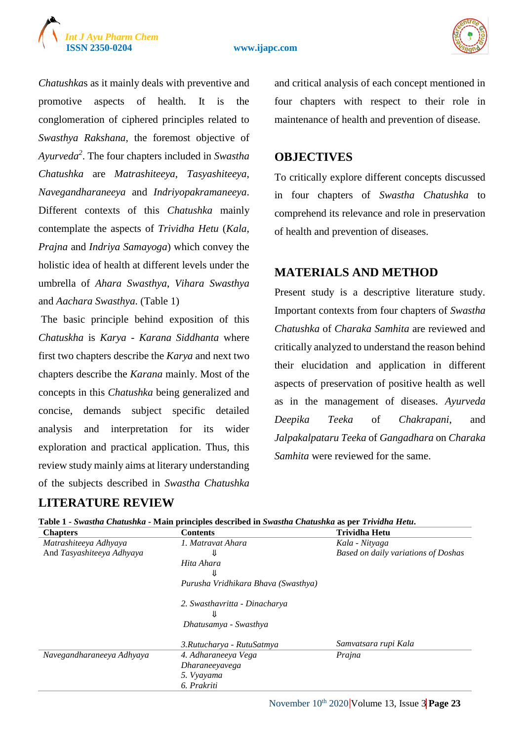



*Chatushka*s as it mainly deals with preventive and promotive aspects of health. It is the conglomeration of ciphered principles related to *Swasthya Rakshana*, the foremost objective of *Ayurveda<sup>2</sup>* . The four chapters included in *Swastha Chatushka* are *Matrashiteeya*, *Tasyashiteeya*, *Navegandharaneeya* and *Indriyopakramaneeya*. Different contexts of this *Chatushka* mainly contemplate the aspects of *Trividha Hetu* (*Kala*, *Prajna* and *Indriya Samayoga*) which convey the holistic idea of health at different levels under the umbrella of *Ahara Swasthya*, *Vihara Swasthya* and *Aachara Swasthya*. (Table 1)

The basic principle behind exposition of this *Chatuskha* is *Karya - Karana Siddhanta* where first two chapters describe the *Karya* and next two chapters describe the *Karana* mainly. Most of the concepts in this *Chatushka* being generalized and concise, demands subject specific detailed analysis and interpretation for its wider exploration and practical application. Thus, this review study mainly aims at literary understanding of the subjects described in *Swastha Chatushka*

### **LITERATURE REVIEW**

and critical analysis of each concept mentioned in four chapters with respect to their role in maintenance of health and prevention of disease.

### **OBJECTIVES**

To critically explore different concepts discussed in four chapters of *Swastha Chatushka* to comprehend its relevance and role in preservation of health and prevention of diseases.

### **MATERIALS AND METHOD**

Present study is a descriptive literature study. Important contexts from four chapters of *Swastha Chatushka* of *Charaka Samhita* are reviewed and critically analyzed to understand the reason behind their elucidation and application in different aspects of preservation of positive health as well as in the management of diseases. *Ayurveda Deepika Teeka* of *Chakrapani*, and *Jalpakalpataru Teeka* of *Gangadhara* on *Charaka Samhita* were reviewed for the same.

| <b>Chapters</b>           | <b>Contents</b>                     | <b>Trividha Hetu</b>                |
|---------------------------|-------------------------------------|-------------------------------------|
| Matrashiteeya Adhyaya     | 1. Matravat Ahara                   | Kala - Nityaga                      |
| And Tasyashiteeya Adhyaya | ⇓                                   | Based on daily variations of Doshas |
|                           | Hita Ahara                          |                                     |
|                           | ⇓                                   |                                     |
|                           | Purusha Vridhikara Bhava (Swasthya) |                                     |
|                           | 2. Swasthavritta - Dinacharya<br>⇓  |                                     |
|                           | Dhatusamya - Swasthya               |                                     |
|                           | 3. Rutucharya - RutuSatmya          | Samvatsara rupi Kala                |
| Navegandharaneeya Adhyaya | 4. Adharaneeya Vega                 | Prajna                              |
|                           | <i>Dharaneeyayega</i>               |                                     |
|                           | 5. Vyayama                          |                                     |
|                           | 6. Prakriti                         |                                     |

| Table 1 - Swastha Chatushka - Main principles described in Swastha Chatushka as per Trividha Hetu. |
|----------------------------------------------------------------------------------------------------|
|----------------------------------------------------------------------------------------------------|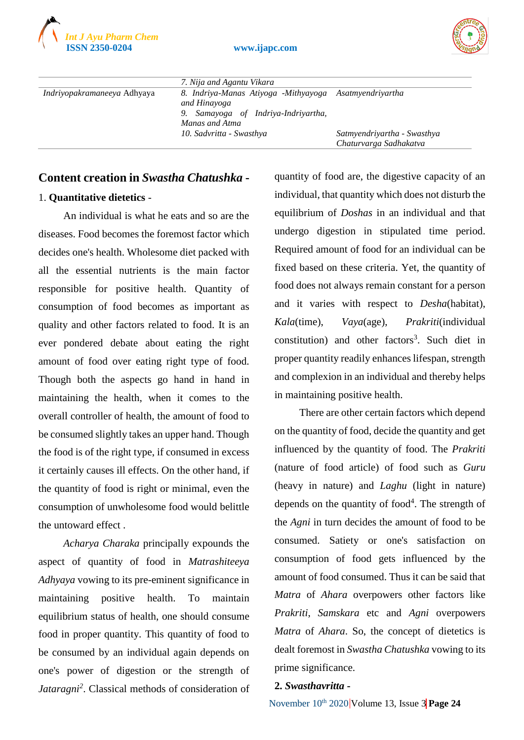



|                             | 7. Nija and Agantu Vikara                                                                                                       |                                                       |
|-----------------------------|---------------------------------------------------------------------------------------------------------------------------------|-------------------------------------------------------|
| Indriyopakramaneeya Adhyaya | 8. Indriya-Manas Atiyoga -Mithyayoga Asatmyendriyartha<br>and Hinayoga<br>9. Samayoga of Indriya-Indriyartha,<br>Manas and Atma |                                                       |
|                             | 10. Sadvritta - Swasthya                                                                                                        | Satmyendriyartha - Swasthya<br>Chaturvarga Sadhakatva |

# **Content creation in** *Swastha Chatushka* **-**

### 1. **Quantitative dietetics** -

An individual is what he eats and so are the diseases. Food becomes the foremost factor which decides one's health. Wholesome diet packed with all the essential nutrients is the main factor responsible for positive health. Quantity of consumption of food becomes as important as quality and other factors related to food. It is an ever pondered debate about eating the right amount of food over eating right type of food. Though both the aspects go hand in hand in maintaining the health, when it comes to the overall controller of health, the amount of food to be consumed slightly takes an upper hand. Though the food is of the right type, if consumed in excess it certainly causes ill effects. On the other hand, if the quantity of food is right or minimal, even the consumption of unwholesome food would belittle the untoward effect .

*Acharya Charaka* principally expounds the aspect of quantity of food in *Matrashiteeya Adhyaya* vowing to its pre-eminent significance in maintaining positive health. To maintain equilibrium status of health, one should consume food in proper quantity. This quantity of food to be consumed by an individual again depends on one's power of digestion or the strength of *Jataragni<sup>2</sup>* . Classical methods of consideration of quantity of food are, the digestive capacity of an individual, that quantity which does not disturb the equilibrium of *Doshas* in an individual and that undergo digestion in stipulated time period. Required amount of food for an individual can be fixed based on these criteria. Yet, the quantity of food does not always remain constant for a person and it varies with respect to *Desha*(habitat), *Kala*(time), *Vaya*(age), *Prakriti*(individual constitution) and other factors<sup>3</sup>. Such diet in proper quantity readily enhances lifespan, strength and complexion in an individual and thereby helps in maintaining positive health.

There are other certain factors which depend on the quantity of food, decide the quantity and get influenced by the quantity of food. The *Prakriti* (nature of food article) of food such as *Guru* (heavy in nature) and *Laghu* (light in nature) depends on the quantity of food<sup>4</sup>. The strength of the *Agni* in turn decides the amount of food to be consumed. Satiety or one's satisfaction on consumption of food gets influenced by the amount of food consumed. Thus it can be said that *Matra* of *Ahara* overpowers other factors like *Prakriti*, *Samskara* etc and *Agni* overpowers *Matra* of *Ahara*. So, the concept of dietetics is dealt foremost in *Swastha Chatushka* vowing to its prime significance.

### **2.** *Swasthavritta* **-**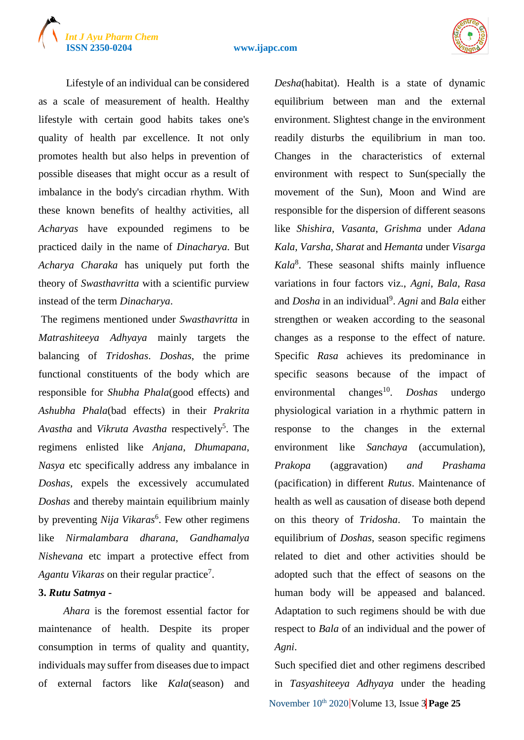



Lifestyle of an individual can be considered as a scale of measurement of health. Healthy lifestyle with certain good habits takes one's quality of health par excellence. It not only promotes health but also helps in prevention of possible diseases that might occur as a result of imbalance in the body's circadian rhythm. With these known benefits of healthy activities, all *Acharyas* have expounded regimens to be practiced daily in the name of *Dinacharya*. But *Acharya Charaka* has uniquely put forth the theory of *Swasthavritta* with a scientific purview instead of the term *Dinacharya*.

The regimens mentioned under *Swasthavritta* in *Matrashiteeya Adhyaya* mainly targets the balancing of *Tridoshas*. *Doshas*, the prime functional constituents of the body which are responsible for *Shubha Phala*(good effects) and *Ashubha Phala*(bad effects) in their *Prakrita* Avastha and *Vikruta Avastha* respectively<sup>5</sup>. The regimens enlisted like *Anjana*, *Dhumapana*, *Nasya* etc specifically address any imbalance in *Doshas*, expels the excessively accumulated *Doshas* and thereby maintain equilibrium mainly by preventing *Nija Vikaras*<sup>6</sup>. Few other regimens like *Nirmalambara dharana*, *Gandhamalya Nishevana* etc impart a protective effect from Agantu Vikaras on their regular practice<sup>7</sup>.

### **3.** *Rutu Satmya* **-**

*Ahara* is the foremost essential factor for maintenance of health. Despite its proper consumption in terms of quality and quantity, individuals may suffer from diseases due to impact of external factors like *Kala*(season) and *Desha*(habitat). Health is a state of dynamic equilibrium between man and the external environment. Slightest change in the environment readily disturbs the equilibrium in man too. Changes in the characteristics of external environment with respect to Sun(specially the movement of the Sun), Moon and Wind are responsible for the dispersion of different seasons like *Shishira*, *Vasanta*, *Grishma* under *Adana Kala*, *Varsha*, *Sharat* and *Hemanta* under *Visarga Kala*<sup>8</sup> . These seasonal shifts mainly influence variations in four factors viz., *Agni*, *Bala*, *Rasa* and *Dosha* in an individual<sup>9</sup>. Agni and *Bala* either strengthen or weaken according to the seasonal changes as a response to the effect of nature. Specific *Rasa* achieves its predominance in specific seasons because of the impact of environmental changes $10$ . . *Doshas* undergo physiological variation in a rhythmic pattern in response to the changes in the external environment like *Sanchaya* (accumulation)*, Prakopa* (aggravation) *and Prashama*  (pacification) in different *Rutus*. Maintenance of health as well as causation of disease both depend on this theory of *Tridosha*. To maintain the equilibrium of *Doshas*, season specific regimens related to diet and other activities should be adopted such that the effect of seasons on the human body will be appeased and balanced. Adaptation to such regimens should be with due respect to *Bala* of an individual and the power of *Agni*.

November 10<sup>th</sup> 2020 Volume 13, Issue 3 Page 25 Such specified diet and other regimens described in *Tasyashiteeya Adhyaya* under the heading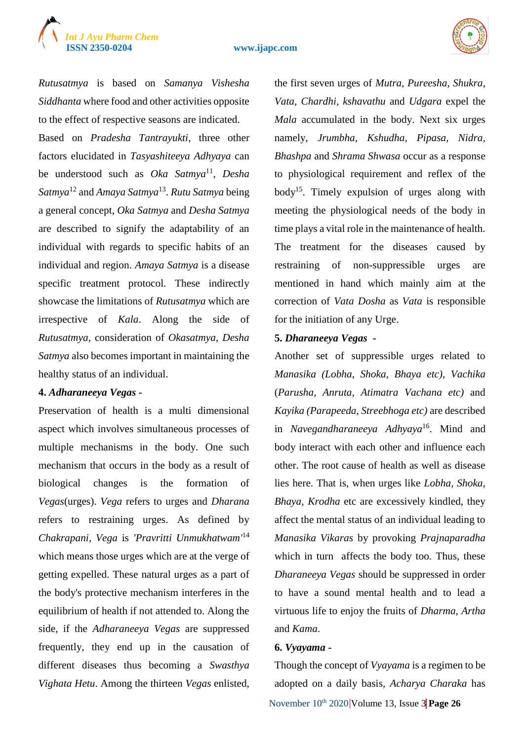# *Int J Ayu Pharm Chem*

### **ISSN 2350-0204 www.ijapc.com**



*Rutusatmya* is based on *Samanya Vishesha Siddhanta* where food and other activities opposite to the effect of respective seasons are indicated. Based on *Pradesha Tantrayukti*, three other factors elucidated in *Tasyashiteeya Adhyaya* can be understood such as *Oka Satmya*<sup>11</sup> , *Desha Satmya*<sup>12</sup> and *Amaya Satmya*<sup>13</sup> . *Rutu Satmya* being a general concept, *Oka Satmya* and *Desha Satmya* are described to signify the adaptability of an individual with regards to specific habits of an individual and region. *Amaya Satmya* is a disease specific treatment protocol. These indirectly showcase the limitations of *Rutusatmya* which are irrespective of *Kala*. Along the side of *Rutusatmya*, consideration of *Okasatmya*, *Desha Satmya* also becomes important in maintaining the healthy status of an individual.

### **4.** *Adharaneeya Vegas* **-**

Preservation of health is a multi dimensional aspect which involves simultaneous processes of multiple mechanisms in the body. One such mechanism that occurs in the body as a result of biological changes is the formation of *Vegas*(urges). *Vega* refers to urges and *Dharana* refers to restraining urges. As defined by *Chakrapani*, *Vega* is *'Pravritti Unmukhatwam'*<sup>14</sup> which means those urges which are at the verge of getting expelled. These natural urges as a part of the body's protective mechanism interferes in the equilibrium of health if not attended to. Along the side, if the *Adharaneeya Vegas* are suppressed frequently, they end up in the causation of different diseases thus becoming a *Swasthya Vighata Hetu*. Among the thirteen *Vegas* enlisted,

the first seven urges of *Mutra*, *Pureesha, Shukra, Vata, Chardhi, kshavathu* and *Udgara* expel the *Mala* accumulated in the body. Next six urges namely, *Jrumbha, Kshudha, Pipasa, Nidra, Bhashpa* and *Shrama Shwasa* occur as a response to physiological requirement and reflex of the body<sup>15</sup>. Timely expulsion of urges along with meeting the physiological needs of the body in time plays a vital role in the maintenance of health. The treatment for the diseases caused by restraining of non-suppressible urges are mentioned in hand which mainly aim at the correction of *Vata Dosha* as *Vata* is responsible for the initiation of any Urge.

### **5.** *Dharaneeya Vegas* **-**

Another set of suppressible urges related to *Manasika (Lobha, Shoka, Bhaya etc)*, *Vachika* (*Parusha, Anruta, Atimatra Vachana etc)* and *Kayika (Parapeeda, Streebhoga etc)* are described in *Navegandharaneeya Adhyaya*<sup>16</sup>. Mind and body interact with each other and influence each other. The root cause of health as well as disease lies here. That is, when urges like *Lobha*, *Shoka*, *Bhaya*, *Krodha* etc are excessively kindled, they affect the mental status of an individual leading to *Manasika Vikaras* by provoking *Prajnaparadha* which in turn affects the body too. Thus, these *Dharaneeya Vegas* should be suppressed in order to have a sound mental health and to lead a virtuous life to enjoy the fruits of *Dharma*, *Artha* and *Kama*.

### **6.** *Vyayama* **-**

November 10<sup>th</sup> 2020 Volume 13, Issue 3 Page 26 Though the concept of *Vyayama* is a regimen to be adopted on a daily basis, *Acharya Charaka* has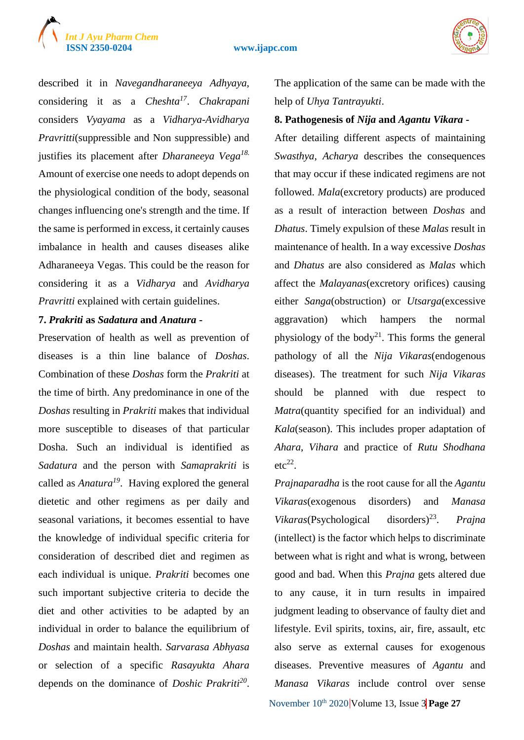# *Int J Ayu Pharm Chem*

#### **ISSN 2350-0204 www.ijapc.com**



described it in *Navegandharaneeya Adhyaya*, considering it as a *Cheshta<sup>17</sup>* . *Chakrapani* considers *Vyayama* as a *Vidharya-Avidharya Pravritti*(suppressible and Non suppressible) and justifies its placement after *Dharaneeya Vega<sup>18</sup>*. Amount of exercise one needs to adopt depends on the physiological condition of the body, seasonal changes influencing one's strength and the time. If the same is performed in excess, it certainly causes imbalance in health and causes diseases alike Adharaneeya Vegas. This could be the reason for considering it as a *Vidharya* and *Avidharya Pravritti* explained with certain guidelines.

### **7.** *Prakriti* **as** *Sadatura* **and** *Anatura* **-**

Preservation of health as well as prevention of diseases is a thin line balance of *Doshas*. Combination of these *Doshas* form the *Prakriti* at the time of birth. Any predominance in one of the *Doshas* resulting in *Prakriti* makes that individual more susceptible to diseases of that particular Dosha. Such an individual is identified as *Sadatura* and the person with *Samaprakriti* is called as *Anatura<sup>19</sup>*. Having explored the general dietetic and other regimens as per daily and seasonal variations, it becomes essential to have the knowledge of individual specific criteria for consideration of described diet and regimen as each individual is unique. *Prakriti* becomes one such important subjective criteria to decide the diet and other activities to be adapted by an individual in order to balance the equilibrium of *Doshas* and maintain health. *Sarvarasa Abhyasa* or selection of a specific *Rasayukta Ahara* depends on the dominance of *Doshic Prakriti<sup>20</sup>* . The application of the same can be made with the help of *Uhya Tantrayukti*.

### **8. Pathogenesis of** *Nija* **and** *Agantu Vikara* **-**

After detailing different aspects of maintaining *Swasthya*, *Acharya* describes the consequences that may occur if these indicated regimens are not followed. *Mala*(excretory products) are produced as a result of interaction between *Doshas* and *Dhatus*. Timely expulsion of these *Malas* result in maintenance of health. In a way excessive *Doshas* and *Dhatus* are also considered as *Malas* which affect the *Malayanas*(excretory orifices) causing either *Sanga*(obstruction) or *Utsarga*(excessive aggravation) which hampers the normal physiology of the body<sup>21</sup>. This forms the general pathology of all the *Nija Vikaras*(endogenous diseases). The treatment for such *Nija Vikaras* should be planned with due respect to *Matra*(quantity specified for an individual) and *Kala*(season). This includes proper adaptation of *Ahara*, *Vihara* and practice of *Rutu Shodhana*  $etc<sup>22</sup>$ .

November 10<sup>th</sup> 2020 Volume 13, Issue 3 Page 27 *Prajnaparadha* is the root cause for all the *Agantu Vikaras*(exogenous disorders) and *Manasa Vikaras*(Psychological disorders)<sup>23</sup>. . *Prajna* (intellect) is the factor which helps to discriminate between what is right and what is wrong, between good and bad. When this *Prajna* gets altered due to any cause, it in turn results in impaired judgment leading to observance of faulty diet and lifestyle. Evil spirits, toxins, air, fire, assault, etc also serve as external causes for exogenous diseases. Preventive measures of *Agantu* and *Manasa Vikaras* include control over sense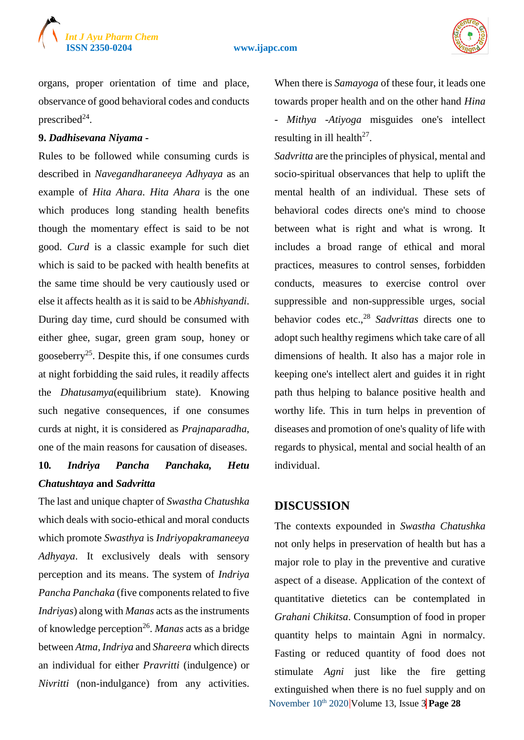

organs, proper orientation of time and place, observance of good behavioral codes and conducts prescribed $24$ .

### **9.** *Dadhisevana Niyama* **-**

Rules to be followed while consuming curds is described in *Navegandharaneeya Adhyaya* as an example of *Hita Ahara*. *Hita Ahara* is the one which produces long standing health benefits though the momentary effect is said to be not good. *Curd* is a classic example for such diet which is said to be packed with health benefits at the same time should be very cautiously used or else it affects health as it is said to be *Abhishyandi*. During day time, curd should be consumed with either ghee, sugar, green gram soup, honey or gooseberry<sup>25</sup>. Despite this, if one consumes curds at night forbidding the said rules, it readily affects the *Dhatusamya*(equilibrium state). Knowing such negative consequences, if one consumes curds at night, it is considered as *Prajnaparadha*, one of the main reasons for causation of diseases.

### **10***. Indriya Pancha Panchaka, Hetu Chatushtaya* **and** *Sadvritta*

The last and unique chapter of *Swastha Chatushka* which deals with socio-ethical and moral conducts which promote *Swasthya* is *Indriyopakramaneeya Adhyaya*. It exclusively deals with sensory perception and its means. The system of *Indriya Pancha Panchaka* (five components related to five *Indriyas*) along with *Manas* acts as the instruments of knowledge perception<sup>26</sup>. Manas acts as a bridge between *Atma, Indriya* and *Shareera* which directs an individual for either *Pravritti* (indulgence) or *Nivritti* (non-indulgance) from any activities.

When there is *Samayoga* of these four, it leads one towards proper health and on the other hand *Hina - Mithya -Atiyoga* misguides one's intellect resulting in ill health<sup>27</sup>.

*Sadvritta* are the principles of physical, mental and socio-spiritual observances that help to uplift the mental health of an individual. These sets of behavioral codes directs one's mind to choose between what is right and what is wrong. It includes a broad range of ethical and moral practices, measures to control senses, forbidden conducts, measures to exercise control over suppressible and non-suppressible urges, social behavior codes etc.,<sup>28</sup> *Sadvrittas* directs one to adopt such healthy regimens which take care of all dimensions of health. It also has a major role in keeping one's intellect alert and guides it in right path thus helping to balance positive health and worthy life. This in turn helps in prevention of diseases and promotion of one's quality of life with regards to physical, mental and social health of an individual.

### **DISCUSSION**

November 10<sup>th</sup> 2020 Volume 13, Issue 3 Page 28 The contexts expounded in *Swastha Chatushka* not only helps in preservation of health but has a major role to play in the preventive and curative aspect of a disease. Application of the context of quantitative dietetics can be contemplated in *Grahani Chikitsa*. Consumption of food in proper quantity helps to maintain Agni in normalcy. Fasting or reduced quantity of food does not stimulate *Agni* just like the fire getting extinguished when there is no fuel supply and on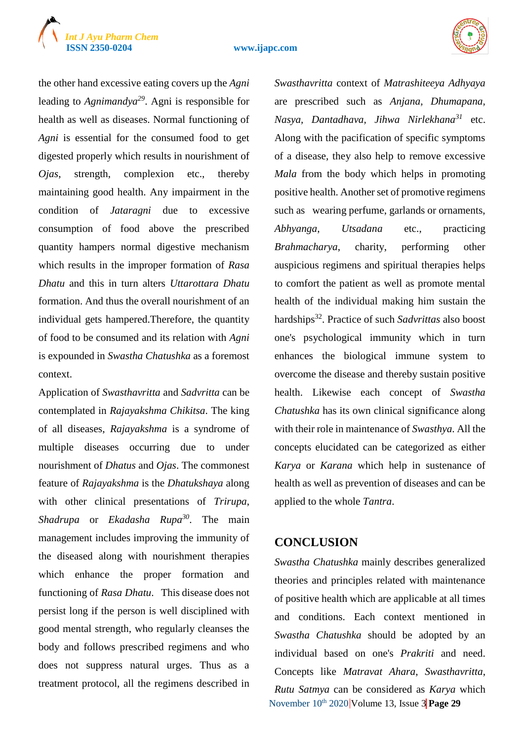# *<i>J Ayu Pharm Chem*

### **ISSN 2350-0204 www.ijapc.com**



the other hand excessive eating covers up the *Agni* leading to *Agnimandya<sup>29</sup>*. Agni is responsible for health as well as diseases. Normal functioning of *Agni* is essential for the consumed food to get digested properly which results in nourishment of *Ojas*, strength, complexion etc., thereby maintaining good health. Any impairment in the condition of *Jataragni* due to excessive consumption of food above the prescribed quantity hampers normal digestive mechanism which results in the improper formation of *Rasa Dhatu* and this in turn alters *Uttarottara Dhatu*  formation. And thus the overall nourishment of an individual gets hampered.Therefore, the quantity of food to be consumed and its relation with *Agni* is expounded in *Swastha Chatushka* as a foremost context.

Application of *Swasthavritta* and *Sadvritta* can be contemplated in *Rajayakshma Chikitsa*. The king of all diseases, *Rajayakshma* is a syndrome of multiple diseases occurring due to under nourishment of *Dhatus* and *Ojas*. The commonest feature of *Rajayakshma* is the *Dhatukshaya* along with other clinical presentations of *Trirupa*, *Shadrupa* or *Ekadasha Rupa<sup>30</sup>*. The main management includes improving the immunity of the diseased along with nourishment therapies which enhance the proper formation and functioning of *Rasa Dhatu*. This disease does not persist long if the person is well disciplined with good mental strength, who regularly cleanses the body and follows prescribed regimens and who does not suppress natural urges. Thus as a treatment protocol, all the regimens described in

*Swasthavritta* context of *Matrashiteeya Adhyaya* are prescribed such as *Anjana, Dhumapana, Nasya, Dantadhava, Jihwa Nirlekhana<sup>31</sup>* etc. Along with the pacification of specific symptoms of a disease, they also help to remove excessive *Mala* from the body which helps in promoting positive health. Another set of promotive regimens such as wearing perfume, garlands or ornaments, *Abhyanga*, *Utsadana* etc., practicing *Brahmacharya*, charity, performing other auspicious regimens and spiritual therapies helps to comfort the patient as well as promote mental health of the individual making him sustain the hardships<sup>32</sup>. Practice of such *Sadvrittas* also boost one's psychological immunity which in turn enhances the biological immune system to overcome the disease and thereby sustain positive health. Likewise each concept of *Swastha Chatushka* has its own clinical significance along with their role in maintenance of *Swasthya*. All the concepts elucidated can be categorized as either *Karya* or *Karana* which help in sustenance of health as well as prevention of diseases and can be applied to the whole *Tantra*.

### **CONCLUSION**

November 10<sup>th</sup> 2020 **Volume 13, Issue 3 Page 29** *Swastha Chatushka* mainly describes generalized theories and principles related with maintenance of positive health which are applicable at all times and conditions. Each context mentioned in *Swastha Chatushka* should be adopted by an individual based on one's *Prakriti* and need. Concepts like *Matravat Ahara*, *Swasthavritta*, *Rutu Satmya* can be considered as *Karya* which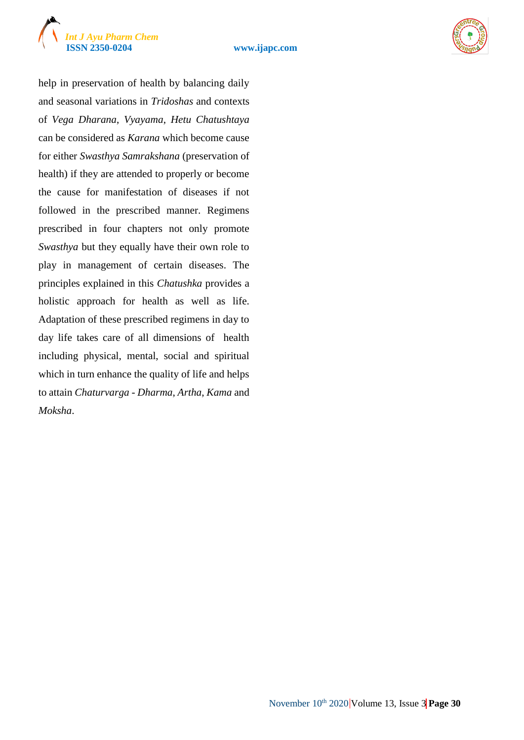





help in preservation of health by balancing daily and seasonal variations in *Tridoshas* and contexts of *Vega Dharana*, *Vyayama*, *Hetu Chatushtaya* can be considered as *Karana* which become cause for either *Swasthya Samrakshana* (preservation of health) if they are attended to properly or become the cause for manifestation of diseases if not followed in the prescribed manner. Regimens prescribed in four chapters not only promote *Swasthya* but they equally have their own role to play in management of certain diseases. The principles explained in this *Chatushka* provides a holistic approach for health as well as life. Adaptation of these prescribed regimens in day to day life takes care of all dimensions of health including physical, mental, social and spiritual which in turn enhance the quality of life and helps to attain *Chaturvarga* - *Dharma*, *Artha*, *Kama* and *Moksha*.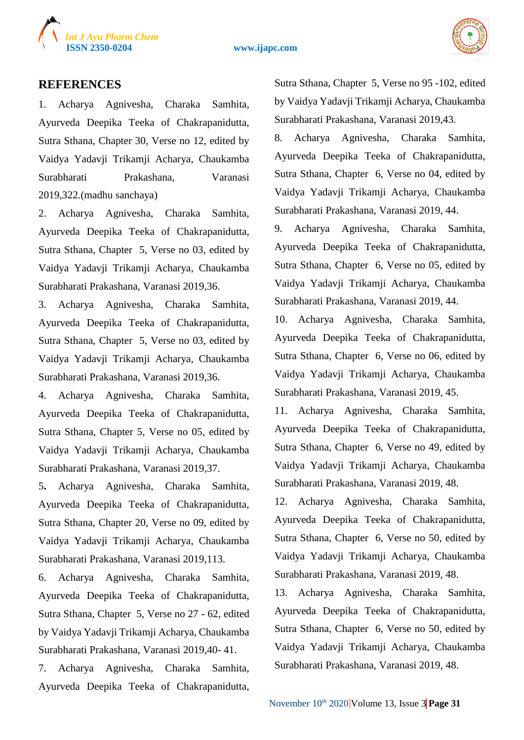



### **REFERENCES**

1. Acharya Agnivesha, Charaka Samhita, Ayurveda Deepika Teeka of Chakrapanidutta, Sutra Sthana, Chapter 30, Verse no 12, edited by Vaidya Yadavji Trikamji Acharya, Chaukamba Surabharati Prakashana, Varanasi 2019,322.(madhu sanchaya)

2. Acharya Agnivesha, Charaka Samhita, Ayurveda Deepika Teeka of Chakrapanidutta, Sutra Sthana, Chapter 5, Verse no 03, edited by Vaidya Yadavji Trikamji Acharya, Chaukamba Surabharati Prakashana, Varanasi 2019,36.

3. Acharya Agnivesha, Charaka Samhita, Ayurveda Deepika Teeka of Chakrapanidutta, Sutra Sthana, Chapter 5, Verse no 03, edited by Vaidya Yadavji Trikamji Acharya, Chaukamba Surabharati Prakashana, Varanasi 2019,36.

4. Acharya Agnivesha, Charaka Samhita, Ayurveda Deepika Teeka of Chakrapanidutta, Sutra Sthana, Chapter 5, Verse no 05, edited by Vaidya Yadavji Trikamji Acharya, Chaukamba Surabharati Prakashana, Varanasi 2019,37.

5**.** Acharya Agnivesha, Charaka Samhita, Ayurveda Deepika Teeka of Chakrapanidutta, Sutra Sthana, Chapter 20, Verse no 09, edited by Vaidya Yadavji Trikamji Acharya, Chaukamba Surabharati Prakashana, Varanasi 2019,113.

6. Acharya Agnivesha, Charaka Samhita, Ayurveda Deepika Teeka of Chakrapanidutta, Sutra Sthana, Chapter 5, Verse no 27 - 62, edited by Vaidya Yadavji Trikamji Acharya, Chaukamba Surabharati Prakashana, Varanasi 2019,40- 41.

7. Acharya Agnivesha, Charaka Samhita, Ayurveda Deepika Teeka of Chakrapanidutta, Sutra Sthana, Chapter 5, Verse no 95 -102, edited by Vaidya Yadavji Trikamji Acharya, Chaukamba Surabharati Prakashana, Varanasi 2019,43.

8. Acharya Agnivesha, Charaka Samhita, Ayurveda Deepika Teeka of Chakrapanidutta, Sutra Sthana, Chapter 6, Verse no 04, edited by Vaidya Yadavji Trikamji Acharya, Chaukamba Surabharati Prakashana, Varanasi 2019, 44.

9. Acharya Agnivesha, Charaka Samhita, Ayurveda Deepika Teeka of Chakrapanidutta, Sutra Sthana, Chapter 6, Verse no 05, edited by Vaidya Yadavji Trikamji Acharya, Chaukamba Surabharati Prakashana, Varanasi 2019, 44.

10. Acharya Agnivesha, Charaka Samhita, Ayurveda Deepika Teeka of Chakrapanidutta, Sutra Sthana, Chapter 6, Verse no 06, edited by Vaidya Yadavji Trikamji Acharya, Chaukamba Surabharati Prakashana, Varanasi 2019, 45.

11. Acharya Agnivesha, Charaka Samhita, Ayurveda Deepika Teeka of Chakrapanidutta, Sutra Sthana, Chapter 6, Verse no 49, edited by Vaidya Yadavji Trikamji Acharya, Chaukamba Surabharati Prakashana, Varanasi 2019, 48.

12. Acharya Agnivesha, Charaka Samhita, Ayurveda Deepika Teeka of Chakrapanidutta, Sutra Sthana, Chapter 6, Verse no 50, edited by Vaidya Yadavji Trikamji Acharya, Chaukamba Surabharati Prakashana, Varanasi 2019, 48.

13. Acharya Agnivesha, Charaka Samhita, Ayurveda Deepika Teeka of Chakrapanidutta, Sutra Sthana, Chapter 6, Verse no 50, edited by Vaidya Yadavji Trikamji Acharya, Chaukamba Surabharati Prakashana, Varanasi 2019, 48.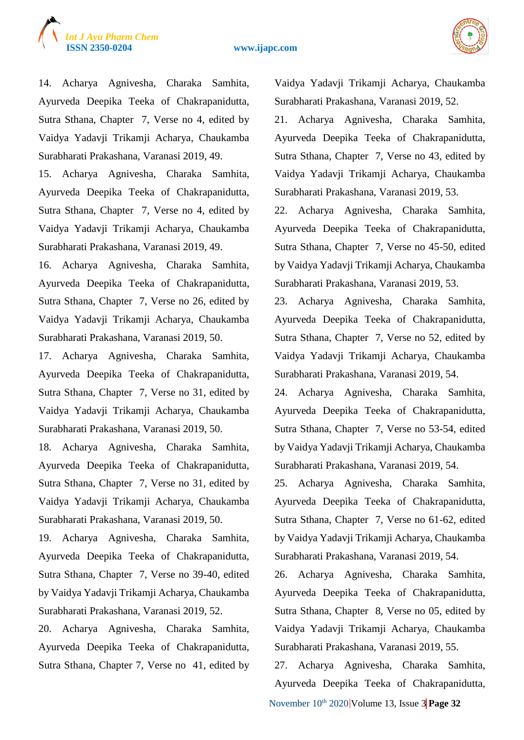# *Int J Ayu Pharm Chem*

### **ISSN 2350-0204 www.ijapc.com**



14. Acharya Agnivesha, Charaka Samhita, Ayurveda Deepika Teeka of Chakrapanidutta, Sutra Sthana, Chapter 7, Verse no 4, edited by Vaidya Yadavji Trikamji Acharya, Chaukamba Surabharati Prakashana, Varanasi 2019, 49.

15. Acharya Agnivesha, Charaka Samhita, Ayurveda Deepika Teeka of Chakrapanidutta, Sutra Sthana, Chapter 7, Verse no 4, edited by Vaidya Yadavji Trikamji Acharya, Chaukamba Surabharati Prakashana, Varanasi 2019, 49.

16. Acharya Agnivesha, Charaka Samhita, Ayurveda Deepika Teeka of Chakrapanidutta, Sutra Sthana, Chapter 7, Verse no 26, edited by Vaidya Yadavji Trikamji Acharya, Chaukamba Surabharati Prakashana, Varanasi 2019, 50.

17. Acharya Agnivesha, Charaka Samhita, Ayurveda Deepika Teeka of Chakrapanidutta, Sutra Sthana, Chapter 7, Verse no 31, edited by Vaidya Yadavji Trikamji Acharya, Chaukamba Surabharati Prakashana, Varanasi 2019, 50.

18. Acharya Agnivesha, Charaka Samhita, Ayurveda Deepika Teeka of Chakrapanidutta, Sutra Sthana, Chapter 7, Verse no 31, edited by Vaidya Yadavji Trikamji Acharya, Chaukamba Surabharati Prakashana, Varanasi 2019, 50.

19. Acharya Agnivesha, Charaka Samhita, Ayurveda Deepika Teeka of Chakrapanidutta, Sutra Sthana, Chapter 7, Verse no 39-40, edited by Vaidya Yadavji Trikamji Acharya, Chaukamba Surabharati Prakashana, Varanasi 2019, 52.

20. Acharya Agnivesha, Charaka Samhita, Ayurveda Deepika Teeka of Chakrapanidutta, Sutra Sthana, Chapter 7, Verse no 41, edited by Vaidya Yadavji Trikamji Acharya, Chaukamba Surabharati Prakashana, Varanasi 2019, 52.

21. Acharya Agnivesha, Charaka Samhita, Ayurveda Deepika Teeka of Chakrapanidutta, Sutra Sthana, Chapter 7, Verse no 43, edited by Vaidya Yadavji Trikamji Acharya, Chaukamba Surabharati Prakashana, Varanasi 2019, 53.

22. Acharya Agnivesha, Charaka Samhita, Ayurveda Deepika Teeka of Chakrapanidutta, Sutra Sthana, Chapter 7, Verse no 45-50, edited by Vaidya Yadavji Trikamji Acharya, Chaukamba Surabharati Prakashana, Varanasi 2019, 53.

23. Acharya Agnivesha, Charaka Samhita, Ayurveda Deepika Teeka of Chakrapanidutta, Sutra Sthana, Chapter 7, Verse no 52, edited by Vaidya Yadavji Trikamji Acharya, Chaukamba Surabharati Prakashana, Varanasi 2019, 54.

24. Acharya Agnivesha, Charaka Samhita, Ayurveda Deepika Teeka of Chakrapanidutta, Sutra Sthana, Chapter 7, Verse no 53-54, edited by Vaidya Yadavji Trikamji Acharya, Chaukamba Surabharati Prakashana, Varanasi 2019, 54.

25. Acharya Agnivesha, Charaka Samhita, Ayurveda Deepika Teeka of Chakrapanidutta, Sutra Sthana, Chapter 7, Verse no 61-62, edited by Vaidya Yadavji Trikamji Acharya, Chaukamba Surabharati Prakashana, Varanasi 2019, 54.

26. Acharya Agnivesha, Charaka Samhita, Ayurveda Deepika Teeka of Chakrapanidutta, Sutra Sthana, Chapter 8, Verse no 05, edited by Vaidya Yadavji Trikamji Acharya, Chaukamba Surabharati Prakashana, Varanasi 2019, 55.

November 10<sup>th</sup> 2020 Volume 13, Issue 3 Page 32 27. Acharya Agnivesha, Charaka Samhita, Ayurveda Deepika Teeka of Chakrapanidutta,